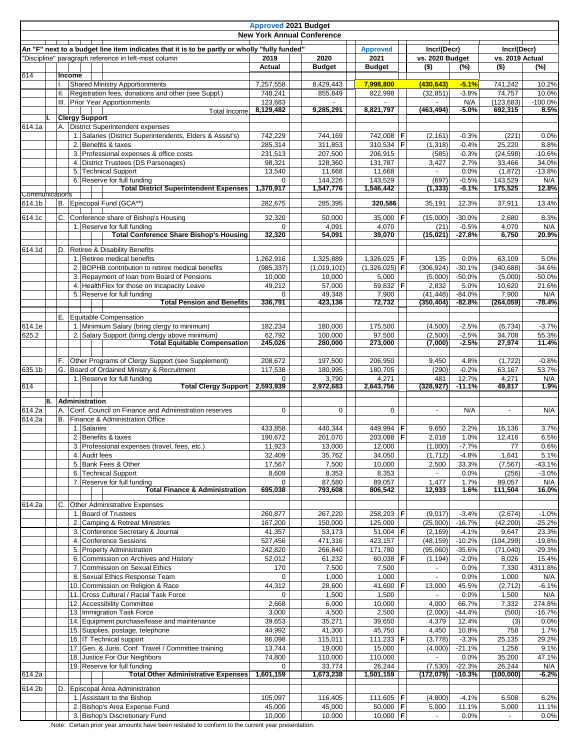|                          |                                                                                              |     |                                     |                                                                                       | <b>Approved 2021 Budget</b> |  |                                   |                              |             |                       |                      |                      |                   |
|--------------------------|----------------------------------------------------------------------------------------------|-----|-------------------------------------|---------------------------------------------------------------------------------------|-----------------------------|--|-----------------------------------|------------------------------|-------------|-----------------------|----------------------|----------------------|-------------------|
|                          |                                                                                              |     |                                     |                                                                                       |                             |  | <b>New York Annual Conference</b> |                              |             |                       |                      |                      |                   |
|                          | An "F" next to a budget line item indicates that it is to be partly or wholly "fully funded" |     |                                     |                                                                                       |                             |  | <b>Approved</b>                   |                              | Incr/(Decr) |                       | Incr/(Decr)          |                      |                   |
|                          |                                                                                              |     |                                     | Discipline" paragraph reference in left-most column                                   | 2019                        |  | 2020                              | 2021                         |             | vs. 2020 Budget       |                      | vs. 2019 Actual      |                   |
| 614                      |                                                                                              |     | Income                              |                                                                                       | Actual                      |  | <b>Budget</b>                     | <b>Budget</b>                |             | $($ \$)               | $(\%)$               | $($ \$)              | (%)               |
|                          |                                                                                              |     |                                     | <b>Shared Ministry Apportionments</b>                                                 | 7,257,558                   |  | 8,429,443                         | 7,998,800                    |             | (430, 643)            | $-5.1%$              | 741,242              | 10.2%             |
|                          |                                                                                              | II. |                                     | Registration fees, donations and other (see Suppl.)                                   | 748,241                     |  | 855,849                           | 822,998                      |             | (32, 851)             | $-3.8%$              | 74,757               | 10.0%             |
|                          |                                                                                              |     |                                     | III. Prior Year Apportionments                                                        | 123,683                     |  |                                   |                              |             |                       | N/A                  | (123, 683)           | $-100.0%$         |
|                          | L.                                                                                           |     |                                     | Total Income<br><b>Clergy Support</b>                                                 | 8,129,482                   |  | 9,285,291                         | 8,821,797                    |             | (463,494)             | $-5.0%$              | 692,315              | 8.5%              |
| 614.1a                   |                                                                                              |     | A. District Superintendent expenses |                                                                                       |                             |  |                                   |                              |             |                       |                      |                      |                   |
|                          |                                                                                              |     |                                     | 1. Salaries (District Superintendents, Elders & Assist's)                             | 742.229                     |  | 744,169                           | 742,008   F                  |             | (2, 161)              | $-0.3%$              | (221)                | 0.0%              |
|                          |                                                                                              |     |                                     | 2. Benefits & taxes                                                                   | 285.314                     |  | 311,853                           | 310,534   <b>F</b>           |             | (1, 318)              | $-0.4%$              | 25,220               | 8.8%              |
|                          |                                                                                              |     |                                     | 3. Professional expenses & office costs                                               | 231,513                     |  | 207,500                           | 206,915                      |             | (585)                 | $-0.3%$              | (24, 598)            | $-10.6%$          |
|                          |                                                                                              |     | 4.                                  | District Trustees (DS Parsonages)<br>5. Technical Support                             | 98,321<br>13,540            |  | 128,360<br>11,668                 | 131,787<br>11,668            |             | 3,427                 | 2.7%<br>0.0%         | 33,466<br>(1, 872)   | 34.0%<br>$-13.8%$ |
|                          |                                                                                              |     |                                     | 6. Reserve for full funding                                                           | $\Omega$                    |  | 144,226                           | 143,529                      |             | (697)                 | $-0.5%$              | 143,529              | N/A               |
|                          |                                                                                              |     |                                     | <b>Total District Superintendent Expenses</b>                                         | 1,370,917                   |  | 1,547,776                         | 1,546,442                    |             | (1, 333)              | $-0.1%$              | 175,525              | 12.8%             |
| Communications<br>614.1b |                                                                                              |     |                                     | B. Episcopal Fund (GCA**)                                                             | 282,675                     |  | 285,395                           | 320,586                      |             | 35,191                | 12.3%                | 37,911               | 13.4%             |
|                          |                                                                                              |     |                                     |                                                                                       |                             |  |                                   |                              |             |                       |                      |                      |                   |
| 614.1c                   |                                                                                              |     |                                     | C. Conference share of Bishop's Housing                                               | 32,320                      |  | 50,000                            | 35,000   <b>F</b>            |             | (15,000)              | $-30.0%$             | 2,680                | 8.3%              |
|                          |                                                                                              |     |                                     | 1. Reserve for full funding<br><b>Total Conference Share Bishop's Housing</b>         | $\Omega$<br>32,320          |  | 4,091<br>54,091                   | 4,070<br>39,070              |             | (21)<br>(15, 021)     | $-0.5%$<br>$-27.8%$  | 4,070<br>6,750       | N/A<br>20.9%      |
|                          |                                                                                              |     |                                     |                                                                                       |                             |  |                                   |                              |             |                       |                      |                      |                   |
| 614.1d                   |                                                                                              |     |                                     | D. Retiree & Disability Benefits<br>1. Retiree medical benefits                       |                             |  |                                   |                              | F           |                       |                      |                      |                   |
|                          |                                                                                              |     |                                     | 2. BOPHB contribution to retiree medical benefits                                     | 1,262,916<br>(985, 337)     |  | 1,325,889<br>(1,019,101)          | 1,326,025<br>$(1,326,025)$ F |             | 135<br>(306, 924)     | 0.0%<br>$-30.1%$     | 63,109<br>(340, 688) | 5.0%<br>$-34.6%$  |
|                          |                                                                                              |     |                                     | 3. Repayment of loan from Board of Pensions                                           | 10,000                      |  | 10,000                            | 5,000                        |             | (5,000)               | $-50.0%$             | (5,000)              | $-50.0%$          |
|                          |                                                                                              |     |                                     | 4. HealthFlex for those on Incapacity Leave                                           | 49,212                      |  | 57,000                            | 59,832   F                   |             | 2,832                 | 5.0%                 | 10,620               | 21.6%             |
|                          |                                                                                              |     |                                     | 5. Reserve for full funding                                                           | $\mathbf 0$                 |  | 49,348                            | 7,900                        |             | (41, 448)             | $-84.0%$             | 7,900                | N/A               |
|                          |                                                                                              |     |                                     | <b>Total Pension and Benefits</b>                                                     | 336,791                     |  | 423,136                           | 72,732                       |             | (350, 404)            | $-82.8%$             | (264, 059)           | $-78.4%$          |
|                          |                                                                                              |     |                                     | E. Equitable Compensation                                                             |                             |  |                                   |                              |             |                       |                      |                      |                   |
| 614.1e                   |                                                                                              |     |                                     | 1. Minimium Salary (bring clergy to minimum)                                          | 182,234                     |  | 180,000                           | 175,500                      |             | (4,500)               | $-2.5%$              | (6, 734)             | $-3.7%$           |
| 625.2                    |                                                                                              |     |                                     | 2. Salary Support (bring clergy above minimum)<br><b>Total Equitable Compensation</b> | 62,792<br>245,026           |  | 100,000<br>280,000                | 97,500<br>273,000            |             | (2,500)<br>(7,000)    | $-2.5%$<br>$-2.5%$   | 34,708<br>27,974     | 55.3%<br>11.4%    |
|                          |                                                                                              |     |                                     |                                                                                       |                             |  |                                   |                              |             |                       |                      |                      |                   |
|                          |                                                                                              |     |                                     | F. Other Programs of Clergy Support (see Supplement)                                  | 208,672                     |  | 197,500                           | 206,950                      |             | 9,450                 | 4.8%                 | (1,722)              | $-0.8%$           |
| 635.1b                   |                                                                                              | IG. |                                     | Board of Ordained Ministry & Recruitment                                              | 117,538                     |  | 180,995                           | 180,705                      |             | (290)                 | $-0.2%$              | 63,167               | 53.7%             |
| 614                      |                                                                                              |     |                                     | 1. Reserve for full funding                                                           | $\Omega$<br>2,593,939       |  | 3,790                             | 4,271                        |             | 481                   | 12.7%                | 4,271                | N/A               |
|                          |                                                                                              |     |                                     | <b>Total Clergy Support</b>                                                           |                             |  | 2,972,683                         | 2,643,756                    |             | (328, 927)            | $-11.1%$             | 49,817               | 1.9%              |
|                          |                                                                                              |     |                                     | II. Administration                                                                    |                             |  |                                   |                              |             |                       |                      |                      |                   |
| 614.2a                   |                                                                                              | IA. |                                     | Conf. Council on Finance and Administration reserves                                  | $\mathbf 0$                 |  | $\mathbf 0$                       | $\mathbf 0$                  |             |                       | N/A                  |                      | N/A               |
| 614.2a                   |                                                                                              | B.  |                                     | Finance & Administration Office<br>1. Salaries                                        | 433,858                     |  | 440,344                           | 449,994   <b>F</b>           |             | 9,650                 | 2.2%                 | 16,136               | 3.7%              |
|                          |                                                                                              |     |                                     | 2. Benefits & taxes                                                                   | 190,672                     |  | 201,070                           | 203,088   <b>F</b>           |             | 2,018                 | 1.0%                 | 12,416               | 6.5%              |
|                          |                                                                                              |     |                                     | 3. Professional expenses (travel, fees, etc.)                                         | 11,923                      |  | 13,000                            | 12,000                       |             | (1,000)               | $-7.7%$              | 77                   | 0.6%              |
|                          |                                                                                              |     |                                     | 4. Audit fees                                                                         | 32,409                      |  | 35,762                            | 34,050                       |             | (1,712)               | $-4.8%$              | 1,641                | 5.1%              |
|                          |                                                                                              |     |                                     | 5. Bank Fees & Other                                                                  | 17,567                      |  | 7,500                             | 10,000                       |             | 2,500                 | 33.3%                | (7, 567)             | $-43.1%$          |
|                          |                                                                                              |     |                                     | 6. Technical Support<br>7. Reserve for full funding                                   | 8,609<br>$\mathbf 0$        |  | 8,353<br>87,580                   | 8,353<br>89,057              |             | 1,477                 | 0.0%<br>1.7%         | (256)<br>89,057      | $-3.0%$<br>N/A    |
|                          |                                                                                              |     |                                     | <b>Total Finance &amp; Administration</b>                                             | 695,038                     |  | 793,608                           | 806,542                      |             | 12,933                | 1.6%                 | 111,504              | 16.0%             |
|                          |                                                                                              |     |                                     | C. Other Administrative Expenses                                                      |                             |  |                                   |                              |             |                       |                      |                      |                   |
| 614.2a                   |                                                                                              |     |                                     | 1. Board of Trustees                                                                  | 260,877                     |  | 267,220                           | $258,203$   F                |             | (9,017)               | $-3.4%$              | (2,674)              | $-1.0%$           |
|                          |                                                                                              |     |                                     | 2. Camping & Retreat Ministries                                                       | 167,200                     |  | 150,000                           | 125,000                      |             | (25,000)              | $-16.7%$             | (42, 200)            | $-25.2%$          |
|                          |                                                                                              |     |                                     | 3. Conference Secretary & Journal                                                     | 41,357                      |  | 53,173                            | 51,004   <b>F</b>            |             | (2, 169)              | $-4.1%$              | 9,647                | 23.3%             |
|                          |                                                                                              |     | 4.                                  | Conference Sessions                                                                   | 527,456                     |  | 471,316                           | 423,157                      |             | (48, 159)             | $-10.2%$             | (104, 299)           | $-19.8%$          |
|                          |                                                                                              |     |                                     | 5. Property Administration<br>6. Commission on Archives and History                   | 242,820<br>52,012           |  | 266,840<br>61,232                 | 171,780<br>60,038   <b>F</b> |             | (95,060)              | $-35.6%$             | (71, 040)<br>8,026   | $-29.3%$<br>15.4% |
|                          |                                                                                              |     |                                     | 7. Commission on Sexual Ethics                                                        | 170                         |  | 7,500                             | 7,500                        |             | (1, 194)              | $-2.0%$<br>0.0%      | 7,330                | 4311.8%           |
|                          |                                                                                              |     |                                     | 8. Sexual Ethics Response Team                                                        | 0                           |  | 1,000                             | 1,000                        |             |                       | 0.0%                 | 1,000                | N/A               |
|                          |                                                                                              |     | 10.                                 | Commission on Religion & Race                                                         | 44,312                      |  | 28,600                            | 41,600   $F$                 |             | 13,000                | 45.5%                | (2,712)              | $-6.1%$           |
|                          |                                                                                              |     |                                     | 11. Cross Cultural / Racial Task Force                                                | 0                           |  | 1,500                             | 1,500                        |             |                       | 0.0%                 | 1,500                | N/A               |
|                          |                                                                                              |     |                                     | 12. Accessibility Committee                                                           | 2,668                       |  | 6,000                             | 10,000                       |             | 4,000                 | 66.7%                | 7,332                | 274.8%            |
|                          |                                                                                              |     |                                     | 13. Immigration Task Force<br>14. Equipment purchase/lease and maintenance            | 3,000<br>39,653             |  | 4,500<br>35,271                   | 2,500<br>39,650              |             | (2,000)<br>4,379      | $-44.4%$<br>12.4%    | (500)<br>(3)         | $-16.7%$<br>0.0%  |
|                          |                                                                                              |     |                                     | 15. Supplies, postage, telephone                                                      | 44,992                      |  | 41,300                            | 45,750                       |             | 4,450                 | 10.8%                | 758                  | 1.7%              |
|                          |                                                                                              |     |                                     | 16. IT Technical support                                                              | 86,098                      |  | 115,011                           | 111,233   <b>F</b>           |             | (3,778)               | $-3.3%$              | 25,135               | 29.2%             |
|                          |                                                                                              |     |                                     | 17. Gen. & Juris. Conf. Travel / Committee training                                   | 13,744                      |  | 19,000                            | 15,000                       |             | (4,000)               | $-21.1%$             | 1,256                | 9.1%              |
|                          |                                                                                              |     |                                     | 18. Justice For Our Neighbors                                                         | 74,800                      |  | 110,000                           | 110,000                      |             |                       | 0.0%                 | 35,200               | 47.1%             |
| 614.2a                   |                                                                                              |     |                                     | 19. Reserve for full funding<br><b>Total Other Administrative Expenses</b>            | 0<br>1,601,159              |  | 33,774<br>1,673,238               | 26,244<br>1,501,159          |             | (7,530)<br>(172, 079) | $-22.3%$<br>$-10.3%$ | 26,244<br>(100,000)  | N/A<br>$-6.2%$    |
|                          |                                                                                              |     |                                     |                                                                                       |                             |  |                                   |                              |             |                       |                      |                      |                   |
| 614.2b                   |                                                                                              |     |                                     | D. Episcopal Area Administration<br>1. Assistant to the Bishop                        |                             |  |                                   | $11,605$ F                   |             |                       |                      |                      | 6.2%              |
|                          |                                                                                              |     |                                     | 2. Bishop's Area Expense Fund                                                         | 105,097<br>45,000           |  | 116,405<br>45,000                 | 50,000   <b>F</b>            |             | (4,800)<br>5,000      | $-4.1%$<br>11.1%     | 6,508<br>5,000       | 11.1%             |
|                          |                                                                                              |     |                                     | 3. Bishop's Discretionary Fund                                                        | 10,000                      |  | 10,000                            | 10,000   <b>F</b>            |             |                       | 0.0%                 |                      | 0.0%              |

Note: Certain prior year amounts have been restated to conform to the current year presentation.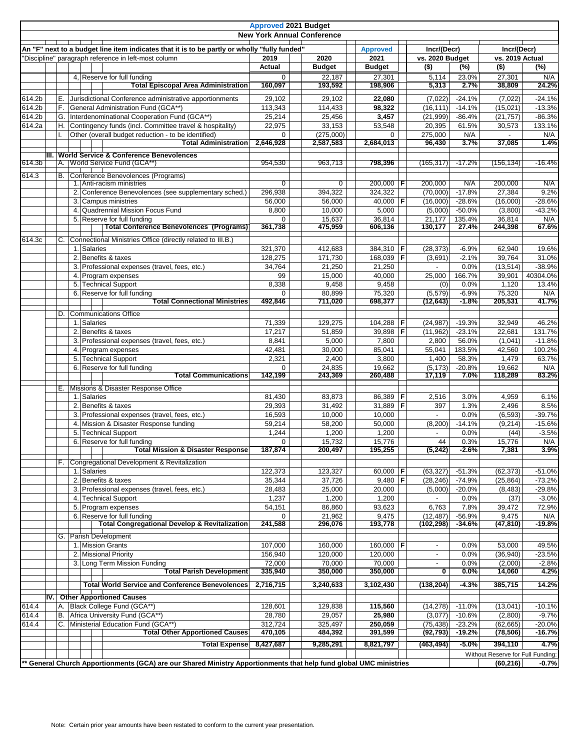|        |                                                                                                                                                      |     |    |             |                                                                                                                 | <b>Approved 2021 Budget</b>       |  |                        |                       |             |                            |                      |                                                |                      |
|--------|------------------------------------------------------------------------------------------------------------------------------------------------------|-----|----|-------------|-----------------------------------------------------------------------------------------------------------------|-----------------------------------|--|------------------------|-----------------------|-------------|----------------------------|----------------------|------------------------------------------------|----------------------|
|        |                                                                                                                                                      |     |    |             |                                                                                                                 | <b>New York Annual Conference</b> |  |                        |                       |             |                            |                      |                                                |                      |
|        | An "F" next to a budget line item indicates that it is to be partly or wholly "fully funded"<br>'Discipline" paragraph reference in left-most column |     |    |             |                                                                                                                 |                                   |  | <b>Approved</b>        |                       | Incr/(Decr) |                            | Incr/(Decr)          |                                                |                      |
|        |                                                                                                                                                      |     |    |             |                                                                                                                 | 2019<br>Actual                    |  | 2020<br><b>Budget</b>  | 2021<br><b>Budget</b> |             | vs. 2020 Budget<br>$($ \$) | (%)                  | vs. 2019 Actual<br>$($ \$)                     | (%)                  |
|        |                                                                                                                                                      |     |    |             | 4, Reserve for full funding                                                                                     | $\Omega$                          |  | 22,187                 | 27,301                |             | 5,114                      | 23.0%                | 27,301                                         | N/A                  |
|        |                                                                                                                                                      |     |    |             | <b>Total Episcopal Area Administration</b>                                                                      | 160,097                           |  | 193,592                | 198,906               |             | 5,313                      | 2.7%                 | 38,809                                         | 24.2%                |
| 614.2b |                                                                                                                                                      |     |    |             | E. Jurisdictional Conference administrative apportionments                                                      | 29,102                            |  | 29,102                 | 22,080                |             | (7,022)                    | $-24.1%$             | (7,022)                                        | $-24.1%$             |
| 614.2b |                                                                                                                                                      | IF. |    |             | General Administration Fund (GCA**)                                                                             | 113,343                           |  | 114,433                | 98,322                |             | (16, 111)                  | $-14.1%$             | (15,021)                                       | $-13.3%$             |
| 614.2b |                                                                                                                                                      | IG. |    |             | Interdenominational Cooperation Fund (GCA**)                                                                    | 25,214                            |  | 25,456                 | 3,457                 |             | (21, 999)                  | $-86.4%$             | (21, 757)                                      | $-86.3%$             |
| 614.2a |                                                                                                                                                      | IH. |    |             | Contingency funds (incl. Committee travel & hospitality)                                                        | 22,975                            |  | 33,153                 | 53,548                |             | 20,395                     | 61.5%                | 30,573                                         | 133.1%               |
|        |                                                                                                                                                      |     |    |             | Other (overall budget reduction - to be identified)<br><b>Total Administration</b>                              | 0<br>2,646,928                    |  | (275,000)<br>2,587,583 | 0<br>2,684,013        |             | 275,000<br>96,430          | N/A<br>3.7%          | 37,085                                         | N/A<br>1.4%          |
|        |                                                                                                                                                      |     |    |             |                                                                                                                 |                                   |  |                        |                       |             |                            |                      |                                                |                      |
| 614.3b |                                                                                                                                                      |     |    |             | III. World Service & Conference Benevolences<br>A. World Service Fund (GCA**                                    | 954,530                           |  | 963,713                | 798,396               |             | (165, 317)                 | $-17.2%$             | (156, 134)                                     | $-16.4%$             |
|        |                                                                                                                                                      |     |    |             |                                                                                                                 |                                   |  |                        |                       |             |                            |                      |                                                |                      |
| 614.3  |                                                                                                                                                      |     |    |             | B. Conference Benevolences (Programs)<br>1. Anti-racism ministries                                              | $\mathbf{0}$                      |  | 0                      | 200,000 F             |             | 200,000                    | N/A                  | 200,000                                        | N/A                  |
|        |                                                                                                                                                      |     |    |             | 2. Conference Benevolences (see supplementary sched.)                                                           | 296,938                           |  | 394,322                | 324,322               |             | (70,000)                   | $-17.8%$             | 27,384                                         | 9.2%                 |
|        |                                                                                                                                                      |     |    |             | 3. Campus ministries                                                                                            | 56,000                            |  | 56,000                 | 40,000   <b>F</b>     |             | (16,000)                   | $-28.6%$             | (16,000)                                       | $-28.6%$             |
|        |                                                                                                                                                      |     | 4. |             | Quadrennial Mission Focus Fund                                                                                  | 8,800                             |  | 10,000                 | 5,000                 |             | (5,000)                    | $-50.0%$             | (3,800)                                        | $-43.2%$             |
|        |                                                                                                                                                      |     |    |             | 5. Reserve for full funding                                                                                     | $\Omega$                          |  | 15,637                 | 36,814                |             | 21,177                     | 135.4%               | 36,814                                         | N/A                  |
|        |                                                                                                                                                      |     |    |             | <b>Total Conference Benevolences (Programs)</b>                                                                 | 361,738                           |  | 475,959                | 606,136               |             | 130,177                    | 27.4%                | 244,398                                        | 67.6%                |
| 614.3c |                                                                                                                                                      |     |    |             | C. Connectional Ministries Office (directly related to III.B.)                                                  |                                   |  |                        |                       |             |                            |                      |                                                |                      |
|        |                                                                                                                                                      |     |    | 1. Salaries |                                                                                                                 | 321,370                           |  | 412,683                | 384,310   F           |             | (28, 373)                  | $-6.9%$              | 62,940                                         | 19.6%                |
|        |                                                                                                                                                      |     |    |             | 2. Benefits & taxes                                                                                             | 128.275                           |  | 171,730                | 168,039   F           |             | (3,691)                    | $-2.1%$              | 39,764                                         | 31.0%                |
|        |                                                                                                                                                      |     |    |             | 3. Professional expenses (travel, fees, etc.)<br>4. Program expenses                                            | 34,764<br>99                      |  | 21,250<br>15,000       | 21,250<br>40,000      |             | $\overline{a}$             | 0.0%<br>166.7%       | (13, 514)                                      | $-38.9%$<br>40304.0% |
|        |                                                                                                                                                      |     |    |             | 5. Technical Support                                                                                            | 8,338                             |  | 9,458                  | 9,458                 |             | 25,000<br>(0)              | 0.0%                 | 39,901<br>1,120                                | 13.4%                |
|        |                                                                                                                                                      |     |    |             | 6. Reserve for full funding                                                                                     | $\mathbf 0$                       |  | 80,899                 | 75,320                |             | (5,579)                    | $-6.9%$              | 75,320                                         | N/A                  |
|        |                                                                                                                                                      |     |    |             | <b>Total Connectional Ministries</b>                                                                            | 492,846                           |  | 711,020                | 698,377               |             | (12, 643)                  | $-1.8%$              | 205,531                                        | 41.7%                |
|        |                                                                                                                                                      |     |    |             | D. Communications Office                                                                                        |                                   |  |                        |                       |             |                            |                      |                                                |                      |
|        |                                                                                                                                                      |     |    | 1. Salaries |                                                                                                                 | 71,339                            |  | 129,275                | 104,288               | F           | (24, 987)                  | $-19.3%$             | 32,949                                         | 46.2%                |
|        |                                                                                                                                                      |     |    |             | 2. Benefits & taxes                                                                                             | 17,217                            |  | 51,859                 | 39,898   <b>F</b>     |             | (11, 962)                  | $-23.1%$             | 22,681                                         | 131.7%               |
|        |                                                                                                                                                      |     |    |             | 3. Professional expenses (travel, fees, etc.)                                                                   | 8,841                             |  | 5,000                  | 7,800                 |             | 2,800                      | 56.0%                | (1,041)                                        | $-11.8%$             |
|        |                                                                                                                                                      |     | 4. |             | Program expenses                                                                                                | 42,481                            |  | 30,000                 | 85,041                |             | 55,041                     | 183.5%               | 42,560                                         | 100.2%               |
|        |                                                                                                                                                      |     | 5. |             | <b>Technical Support</b>                                                                                        | 2,321                             |  | 2,400                  | 3,800                 |             | 1,400                      | 58.3%                | 1,479                                          | 63.7%                |
|        |                                                                                                                                                      |     |    |             | 6. Reserve for full funding<br><b>Total Communications</b>                                                      | $\Omega$<br>142,199               |  | 24,835<br>243,369      | 19,662<br>260,488     |             | (5, 173)<br>17,119         | $-20.8%$<br>7.0%     | 19,662<br>118,289                              | N/A<br>83.2%         |
|        |                                                                                                                                                      |     |    |             |                                                                                                                 |                                   |  |                        |                       |             |                            |                      |                                                |                      |
|        |                                                                                                                                                      |     |    | 1. Salaries | E. Missions & Disaster Response Office                                                                          | 81,430                            |  | 83,873                 | 86,389   <b>F</b>     |             | 2,516                      | 3.0%                 | 4,959                                          | 6.1%                 |
|        |                                                                                                                                                      |     |    |             | 2. Benefits & taxes                                                                                             | 29,393                            |  | 31,492                 | 31,889                | F           | 397                        | 1.3%                 | 2,496                                          | 8.5%                 |
|        |                                                                                                                                                      |     |    |             | 3. Professional expenses (travel, fees, etc.)                                                                   | 16,593                            |  | 10,000                 | 10,000                |             | $\overline{\phantom{a}}$   | 0.0%                 | (6, 593)                                       | $-39.7%$             |
|        |                                                                                                                                                      |     |    |             | 4. Mission & Disaster Response funding                                                                          | 59,214                            |  | 58,200                 | 50,000                |             | (8,200)                    | $-14.1%$             | (9, 214)                                       | $-15.6%$             |
|        |                                                                                                                                                      |     | 5. |             | <b>Technical Support</b>                                                                                        | 1,244                             |  | 1,200                  | 1,200                 |             |                            | 0.0%                 | (44)                                           | $-3.5%$              |
|        |                                                                                                                                                      |     |    |             | 6. Reserve for full funding                                                                                     | 0                                 |  | 15,732                 | 15,776                |             | 44                         | 0.3%                 | 15,776                                         | N/A                  |
|        |                                                                                                                                                      |     |    |             | <b>Total Mission &amp; Disaster Response</b>                                                                    | 187,874                           |  | 200,497                | 195,255               |             | (5, 242)                   | $-2.6%$              | 7,381                                          | 3.9%                 |
|        |                                                                                                                                                      |     |    |             | F. Congregational Development & Revitalization                                                                  |                                   |  |                        |                       |             |                            |                      |                                                |                      |
|        |                                                                                                                                                      |     |    | 1. Salaries |                                                                                                                 | 122,373                           |  | 123,327                | 60,000                | F           | (63, 327)                  | $-51.3%$             | (62, 373)                                      | $-51.0%$             |
|        |                                                                                                                                                      |     |    |             | 2. Benefits & taxes<br>3. Professional expenses (travel, fees, etc.)                                            | 35,344                            |  | 37,726                 | $9,480$ F             |             | (28, 246)                  | $-74.9%$             | (25, 864)                                      | $-73.2%$<br>$-29.8%$ |
|        |                                                                                                                                                      |     | 4. |             | <b>Technical Support</b>                                                                                        | 28,483<br>1,237                   |  | 25,000<br>1,200        | 20,000<br>1,200       |             | (5,000)                    | $-20.0%$<br>0.0%     | (8,483)<br>(37)                                | $-3.0%$              |
|        |                                                                                                                                                      |     |    |             | 5. Program expenses                                                                                             | 54,151                            |  | 86,860                 | 93,623                |             | 6,763                      | 7.8%                 | 39,472                                         | 72.9%                |
|        |                                                                                                                                                      |     |    |             | 6. Reserve for full funding                                                                                     | $\mathbf 0$                       |  | 21,962                 | 9,475                 |             | (12, 487)                  | $-56.9%$             | 9,475                                          | N/A                  |
|        |                                                                                                                                                      |     |    |             | <b>Total Congregational Develop &amp; Revitalization</b>                                                        | 241,588                           |  | 296,076                | 193,778               |             | (102, 298)                 | $-34.6%$             | (47, 810)                                      | $-19.8%$             |
|        |                                                                                                                                                      |     |    |             | G. Parish Development                                                                                           |                                   |  |                        |                       |             |                            |                      |                                                |                      |
|        |                                                                                                                                                      |     |    |             | 1. Mission Grants                                                                                               | 107,000                           |  | 160,000                | 160,000   <b>F</b>    |             | $\overline{\phantom{a}}$   | 0.0%                 | 53,000                                         | 49.5%                |
|        |                                                                                                                                                      |     |    |             | 2. Missional Priority                                                                                           | 156,940                           |  | 120,000                | 120,000               |             | $\overline{a}$             | 0.0%                 | (36,940)                                       | $-23.5%$             |
|        |                                                                                                                                                      |     |    |             | 3. Long Term Mission Funding<br><b>Total Parish Development</b>                                                 | 72,000                            |  | 70,000                 | 70,000                |             | $\overline{\phantom{a}}$   | $0.0\%$              | (2,000)                                        | $-2.8%$              |
|        |                                                                                                                                                      |     |    |             |                                                                                                                 | 335,940                           |  | 350,000                | 350,000               |             | 0                          | $0.0\%$              | 14,060                                         | 4.2%                 |
|        |                                                                                                                                                      |     |    |             | <b>Total World Service and Conference Benevolences</b>                                                          | 2,716,715                         |  | 3,240,633              | 3,102,430             |             | (138, 204)                 | $-4.3%$              | 385,715                                        | 14.2%                |
|        | IV.I                                                                                                                                                 |     |    |             | <b>Other Apportioned Causes</b>                                                                                 |                                   |  |                        |                       |             |                            |                      |                                                |                      |
| 614.4  |                                                                                                                                                      | IA. |    |             | Black College Fund (GCA**)                                                                                      | 128,601                           |  | 129,838                | 115,560               |             | (14, 278)                  | $-11.0%$             | (13,041)                                       | $-10.1%$             |
| 614.4  |                                                                                                                                                      |     |    |             | B. Africa University Fund (GCA**)                                                                               | 28,780                            |  | 29,057                 | 25,980                |             | (3,077)                    | $-10.6%$             | (2,800)                                        | $-9.7%$              |
| 614.4  |                                                                                                                                                      |     |    |             | C. Ministerial Education Fund (GCA**)<br><b>Total Other Apportioned Causes</b>                                  | 312,724<br>470,105                |  | 325,497<br>484,392     | 250,059<br>391,599    |             | (75, 438)<br>(92, 793)     | $-23.2%$<br>$-19.2%$ | (62, 665)<br>(78, 506)                         | $-20.0%$<br>-16.7%   |
|        |                                                                                                                                                      |     |    |             |                                                                                                                 |                                   |  |                        |                       |             |                            |                      |                                                |                      |
|        |                                                                                                                                                      |     |    |             | <b>Total Expense</b>                                                                                            | 8,427,687                         |  | 9,285,291              | 8,821,797             |             | (463, 494)                 | $-5.0%$              | 394,110                                        | 4.7%                 |
|        |                                                                                                                                                      |     |    |             | General Church Apportionments (GCA) are our Shared Ministry Apportionments that help fund global UMC ministries |                                   |  |                        |                       |             |                            |                      | Without Reserve for Full Funding:<br>(60, 216) | $-0.7%$              |
|        |                                                                                                                                                      |     |    |             |                                                                                                                 |                                   |  |                        |                       |             |                            |                      |                                                |                      |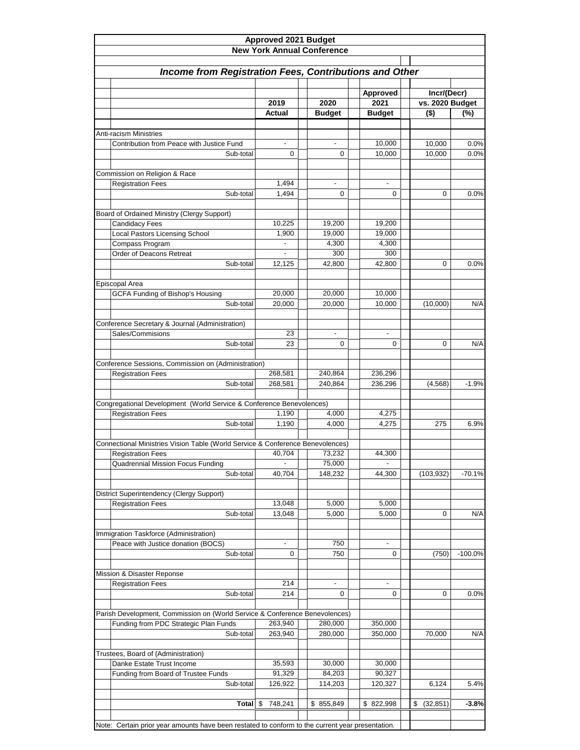| <b>Approved 2021 Budget</b>       |                                                                                                  |                          |                          |                          |                                |           |  |  |  |  |  |  |
|-----------------------------------|--------------------------------------------------------------------------------------------------|--------------------------|--------------------------|--------------------------|--------------------------------|-----------|--|--|--|--|--|--|
| <b>New York Annual Conference</b> |                                                                                                  |                          |                          |                          |                                |           |  |  |  |  |  |  |
|                                   |                                                                                                  |                          |                          |                          |                                |           |  |  |  |  |  |  |
|                                   | Income from Registration Fees, Contributions and Other                                           |                          |                          |                          |                                |           |  |  |  |  |  |  |
|                                   |                                                                                                  |                          |                          |                          |                                |           |  |  |  |  |  |  |
|                                   |                                                                                                  | 2019                     | 2020                     | Approved<br>2021         | Incr/(Decr)<br>vs. 2020 Budget |           |  |  |  |  |  |  |
|                                   |                                                                                                  | Actual                   | <b>Budget</b>            | <b>Budget</b>            | $($ \$)                        | $(\%)$    |  |  |  |  |  |  |
|                                   |                                                                                                  |                          |                          |                          |                                |           |  |  |  |  |  |  |
|                                   | Anti-racism Ministries                                                                           |                          |                          |                          |                                |           |  |  |  |  |  |  |
|                                   | Contribution from Peace with Justice Fund                                                        | $\overline{\phantom{a}}$ |                          | 10,000                   | 10,000                         | 0.0%      |  |  |  |  |  |  |
|                                   | Sub-total                                                                                        | 0                        | $\mathbf 0$              | 10,000                   | 10,000                         | 0.0%      |  |  |  |  |  |  |
|                                   |                                                                                                  |                          |                          |                          |                                |           |  |  |  |  |  |  |
|                                   | Commission on Religion & Race                                                                    |                          |                          |                          |                                |           |  |  |  |  |  |  |
|                                   | <b>Registration Fees</b>                                                                         | 1,494                    | $\centerdot$             | $\overline{\phantom{a}}$ |                                |           |  |  |  |  |  |  |
|                                   | Sub-total                                                                                        | 1,494                    | $\mathbf 0$              | 0                        | 0                              | 0.0%      |  |  |  |  |  |  |
|                                   |                                                                                                  |                          |                          |                          |                                |           |  |  |  |  |  |  |
|                                   | Board of Ordained Ministry (Clergy Support)                                                      |                          |                          |                          |                                |           |  |  |  |  |  |  |
|                                   | <b>Candidacy Fees</b>                                                                            | 10,225<br>1,900          | 19,200<br>19,000         | 19,200<br>19,000         |                                |           |  |  |  |  |  |  |
|                                   | <b>Local Pastors Licensing School</b>                                                            |                          | 4,300                    | 4,300                    |                                |           |  |  |  |  |  |  |
|                                   | Compass Program<br>Order of Deacons Retreat                                                      | $\overline{\phantom{a}}$ | 300                      | 300                      |                                |           |  |  |  |  |  |  |
|                                   | Sub-total                                                                                        | 12,125                   | 42,800                   | 42,800                   | 0                              | 0.0%      |  |  |  |  |  |  |
|                                   |                                                                                                  |                          |                          |                          |                                |           |  |  |  |  |  |  |
|                                   | Episcopal Area                                                                                   |                          |                          |                          |                                |           |  |  |  |  |  |  |
|                                   | GCFA Funding of Bishop's Housing                                                                 | 20,000                   | 20,000                   | 10,000                   |                                |           |  |  |  |  |  |  |
|                                   | Sub-total                                                                                        | 20,000                   | 20,000                   | 10,000                   | (10,000)                       | N/A       |  |  |  |  |  |  |
|                                   |                                                                                                  |                          |                          |                          |                                |           |  |  |  |  |  |  |
|                                   | Conference Secretary & Journal (Administration)                                                  |                          |                          |                          |                                |           |  |  |  |  |  |  |
|                                   | Sales/Commisions                                                                                 | 23                       | ÷.                       | $\overline{\phantom{a}}$ |                                |           |  |  |  |  |  |  |
|                                   | Sub-total                                                                                        | 23                       | 0                        | 0                        | 0                              | N/A       |  |  |  |  |  |  |
|                                   |                                                                                                  |                          |                          |                          |                                |           |  |  |  |  |  |  |
|                                   | Conference Sessions, Commission on (Administration)                                              |                          |                          |                          |                                |           |  |  |  |  |  |  |
|                                   | <b>Registration Fees</b>                                                                         | 268,581                  | 240,864                  | 236,296                  |                                |           |  |  |  |  |  |  |
|                                   | Sub-total                                                                                        | 268,581                  | 240,864                  | 236,296                  | (4, 568)                       | $-1.9%$   |  |  |  |  |  |  |
|                                   | Congregational Development (World Service & Conference Benevolences)                             |                          |                          |                          |                                |           |  |  |  |  |  |  |
|                                   | <b>Registration Fees</b>                                                                         | 1,190                    | 4,000                    | 4,275                    |                                |           |  |  |  |  |  |  |
|                                   | Sub-total                                                                                        | 1,190                    | 4,000                    | 4,275                    | 275                            | 6.9%      |  |  |  |  |  |  |
|                                   |                                                                                                  |                          |                          |                          |                                |           |  |  |  |  |  |  |
|                                   | Connectional Ministries Vision Table (World Service & Conference Benevolences)                   |                          |                          |                          |                                |           |  |  |  |  |  |  |
|                                   | <b>Registration Fees</b>                                                                         | 40,704                   | 73,232                   | 44,300                   |                                |           |  |  |  |  |  |  |
|                                   | Quadrennial Mission Focus Funding                                                                | $\overline{\phantom{a}}$ | 75,000                   |                          |                                |           |  |  |  |  |  |  |
|                                   | Sub-total                                                                                        | 40,704                   | 148,232                  | 44,300                   | (103, 932)                     | $-70.1%$  |  |  |  |  |  |  |
|                                   |                                                                                                  |                          |                          |                          |                                |           |  |  |  |  |  |  |
|                                   | District Superintendency (Clergy Support)                                                        |                          |                          |                          |                                |           |  |  |  |  |  |  |
|                                   | <b>Registration Fees</b>                                                                         | 13,048                   | 5,000                    | 5,000                    |                                |           |  |  |  |  |  |  |
|                                   | Sub-total                                                                                        | 13,048                   | 5,000                    | 5,000                    | 0                              | N/A       |  |  |  |  |  |  |
|                                   |                                                                                                  |                          |                          |                          |                                |           |  |  |  |  |  |  |
|                                   | Immigration Taskforce (Administration)<br>Peace with Justice donation (BOCS)                     | $\overline{\phantom{a}}$ | 750                      | $\overline{\phantom{a}}$ |                                |           |  |  |  |  |  |  |
|                                   | Sub-total                                                                                        | 0                        | 750                      | 0                        | (750)                          | $-100.0%$ |  |  |  |  |  |  |
|                                   |                                                                                                  |                          |                          |                          |                                |           |  |  |  |  |  |  |
|                                   | Mission & Disaster Reponse                                                                       |                          |                          |                          |                                |           |  |  |  |  |  |  |
|                                   | <b>Registration Fees</b>                                                                         | 214                      | $\overline{\phantom{0}}$ | ÷,                       |                                |           |  |  |  |  |  |  |
|                                   | Sub-total                                                                                        | 214                      | 0                        | 0                        | 0                              | 0.0%      |  |  |  |  |  |  |
|                                   |                                                                                                  |                          |                          |                          |                                |           |  |  |  |  |  |  |
|                                   | Parish Development, Commission on (World Service & Conference Benevolences)                      |                          |                          |                          |                                |           |  |  |  |  |  |  |
|                                   | Funding from PDC Strategic Plan Funds                                                            | 263,940                  | 280,000                  | 350,000                  |                                |           |  |  |  |  |  |  |
|                                   | Sub-total                                                                                        | 263,940                  | 280,000                  | 350,000                  | 70,000                         | N/A       |  |  |  |  |  |  |
|                                   |                                                                                                  |                          |                          |                          |                                |           |  |  |  |  |  |  |
|                                   | Trustees, Board of (Administration)                                                              |                          |                          |                          |                                |           |  |  |  |  |  |  |
|                                   | Danke Estate Trust Income                                                                        | 35,593<br>91,329         | 30,000<br>84,203         | 30,000<br>90,327         |                                |           |  |  |  |  |  |  |
|                                   | Funding from Board of Trustee Funds<br>Sub-total                                                 |                          | 114,203                  |                          |                                | 5.4%      |  |  |  |  |  |  |
|                                   |                                                                                                  | 126,922                  |                          | 120,327                  | 6,124                          |           |  |  |  |  |  |  |
|                                   | Total∣                                                                                           | 748,241<br>\$            | \$855,849                | \$822,998                | (32, 851)<br>\$                | $-3.8%$   |  |  |  |  |  |  |
|                                   |                                                                                                  |                          |                          |                          |                                |           |  |  |  |  |  |  |
|                                   | Note: Certain prior year amounts have been restated to conform to the current year presentation. |                          |                          |                          |                                |           |  |  |  |  |  |  |